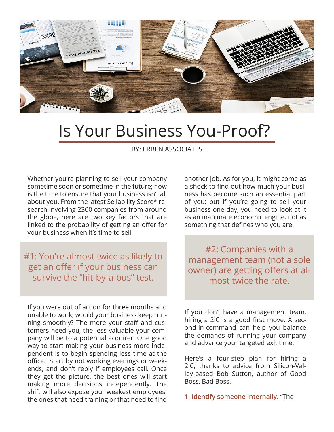

## Is Your Business You-Proof?

BY: ERBEN ASSOCIATES

Whether you're planning to sell your company sometime soon or sometime in the future; now is the time to ensure that your business isn't all about you. From the latest Sellability Score\* research involving 2300 companies from around the globe, here are two key factors that are linked to the probability of getting an offer for your business when it's time to sell.

## #1: You're almost twice as likely to get an offer if your business can survive the "hit-by-a-bus" test.

If you were out of action for three months and unable to work, would your business keep running smoothly? The more your staff and customers need you, the less valuable your company will be to a potential acquirer. One good way to start making your business more independent is to begin spending less time at the office. Start by not working evenings or weekends, and don't reply if employees call. Once they get the picture, the best ones will start making more decisions independently. The shift will also expose your weakest employees, the ones that need training or that need to find

another job. As for you, it might come as a shock to find out how much your business has become such an essential part of you; but if you're going to sell your business one day, you need to look at it as an inanimate economic engine, not as something that defines who you are.

#2: Companies with a management team (not a sole owner) are getting offers at almost twice the rate.

If you don't have a management team, hiring a 2iC is a good first move. A second-in-command can help you balance the demands of running your company and advance your targeted exit time.

Here's a four-step plan for hiring a 2iC, thanks to advice from Silicon-Valley-based Bob Sutton, author of Good Boss, Bad Boss.

**1. Identify someone internally.** "The